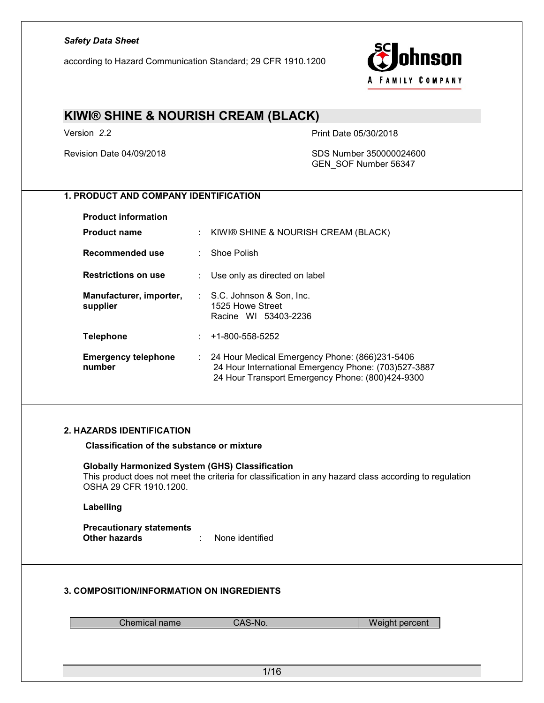according to Hazard Communication Standard; 29 CFR 1910.1200



# KIWI® SHINE & NOURISH CREAM (BLACK)

Version 2.2 Print Date 05/30/2018

Revision Date 04/09/2018 SDS Number 350000024600 GEN\_SOF Number 56347

### 1. PRODUCT AND COMPANY IDENTIFICATION

| <b>Product information</b>           |    |                                                                                                                                                                         |
|--------------------------------------|----|-------------------------------------------------------------------------------------------------------------------------------------------------------------------------|
| <b>Product name</b>                  | ÷. | KIWI® SHINE & NOURISH CREAM (BLACK)                                                                                                                                     |
| Recommended use                      |    | Shoe Polish                                                                                                                                                             |
| <b>Restrictions on use</b>           |    | Use only as directed on label                                                                                                                                           |
| Manufacturer, importer,<br>supplier  |    | $\therefore$ S.C. Johnson & Son, Inc.<br>1525 Howe Street<br>Racine WI 53403-2236                                                                                       |
| <b>Telephone</b>                     | ÷  | +1-800-558-5252                                                                                                                                                         |
| <b>Emergency telephone</b><br>number |    | $\therefore$ 24 Hour Medical Emergency Phone: (866)231-5406<br>24 Hour International Emergency Phone: (703)527-3887<br>24 Hour Transport Emergency Phone: (800)424-9300 |

#### 2. HAZARDS IDENTIFICATION

Classification of the substance or mixture

#### Globally Harmonized System (GHS) Classification

This product does not meet the criteria for classification in any hazard class according to regulation OSHA 29 CFR 1910.1200.

#### Labelling

**Precautionary statements<br>Other hazards** : None identified

#### 3. COMPOSITION/INFORMATION ON INGREDIENTS

| Chemical name<br>Weight percent<br>CAS-No. |
|--------------------------------------------|
|--------------------------------------------|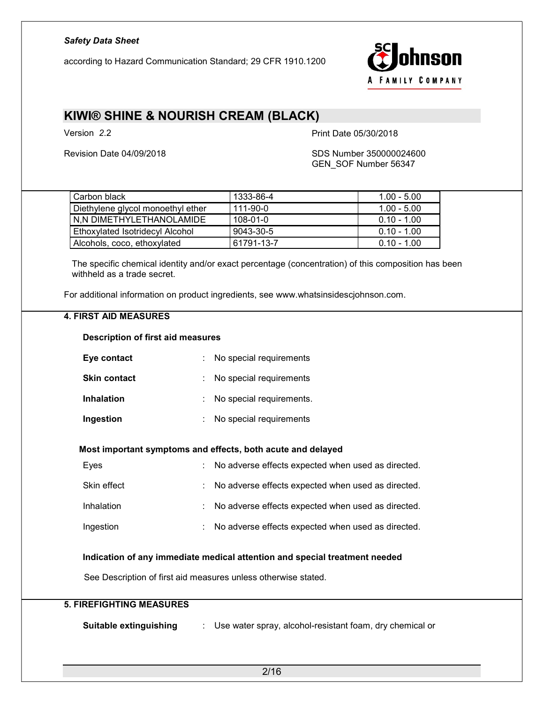according to Hazard Communication Standard; 29 CFR 1910.1200



### KIWI® SHINE & NOURISH CREAM (BLACK)

Version 2.2 **Print Date 05/30/2018** 

#### Revision Date 04/09/2018 SDS Number 350000024600 GEN\_SOF Number 56347

| Carbon black                      | 1333-86-4      | $1.00 - 5.00$ |
|-----------------------------------|----------------|---------------|
| Diethylene glycol monoethyl ether | 111-90-0       | $1.00 - 5.00$ |
| N.N DIMETHYLETHANOLAMIDE          | $108 - 01 - 0$ | $0.10 - 1.00$ |
| Ethoxylated Isotridecyl Alcohol   | 9043-30-5      | $0.10 - 1.00$ |
| Alcohols, coco, ethoxylated       | 61791-13-7     | $0.10 - 1.00$ |

The specific chemical identity and/or exact percentage (concentration) of this composition has been withheld as a trade secret.

For additional information on product ingredients, see www.whatsinsidescjohnson.com.

#### 4. FIRST AID MEASURES

#### Description of first aid measures

| Eye contact         | : No special requirements  |
|---------------------|----------------------------|
| <b>Skin contact</b> | : No special requirements  |
| Inhalation          | : No special requirements. |
| Ingestion           | No special requirements    |

#### Most important symptoms and effects, both acute and delayed

| Eyes        | : No adverse effects expected when used as directed. |
|-------------|------------------------------------------------------|
| Skin effect | : No adverse effects expected when used as directed. |
| Inhalation  | : No adverse effects expected when used as directed. |
| Ingestion   | : No adverse effects expected when used as directed. |

#### Indication of any immediate medical attention and special treatment needed

See Description of first aid measures unless otherwise stated.

### 5. FIREFIGHTING MEASURES

Suitable extinguishing : Use water spray, alcohol-resistant foam, dry chemical or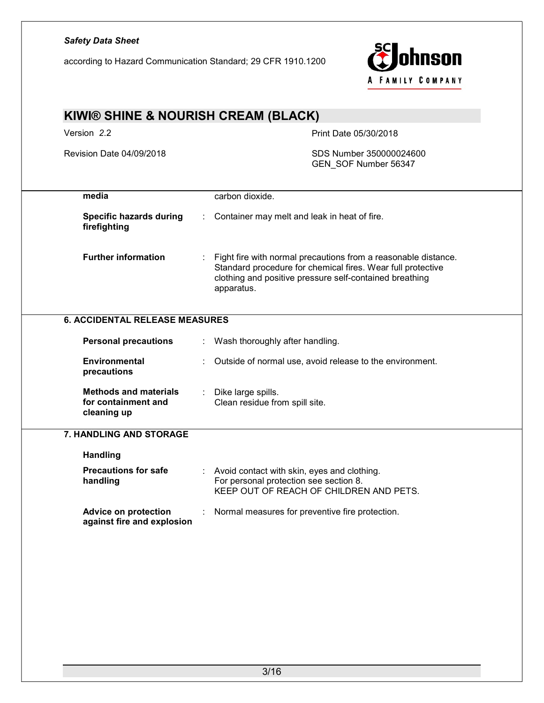according to Hazard Communication Standard; 29 CFR 1910.1200



| Version 2.2                                                                                                                                                                                                                          |                                      | Print Date 05/30/2018                                                                                                            |
|--------------------------------------------------------------------------------------------------------------------------------------------------------------------------------------------------------------------------------------|--------------------------------------|----------------------------------------------------------------------------------------------------------------------------------|
| Revision Date 04/09/2018                                                                                                                                                                                                             |                                      | SDS Number 350000024600<br>GEN_SOF Number 56347                                                                                  |
| media                                                                                                                                                                                                                                | carbon dioxide.                      |                                                                                                                                  |
| <b>Specific hazards during</b><br>firefighting                                                                                                                                                                                       |                                      | Container may melt and leak in heat of fire.                                                                                     |
| <b>Further information</b><br>Fight fire with normal precautions from a reasonable distance.<br>Standard procedure for chemical fires. Wear full protective<br>clothing and positive pressure self-contained breathing<br>apparatus. |                                      |                                                                                                                                  |
| <b>6. ACCIDENTAL RELEASE MEASURES</b>                                                                                                                                                                                                |                                      |                                                                                                                                  |
| <b>Personal precautions</b>                                                                                                                                                                                                          |                                      | Wash thoroughly after handling.                                                                                                  |
| <b>Environmental</b><br>precautions                                                                                                                                                                                                  |                                      | Outside of normal use, avoid release to the environment.                                                                         |
| <b>Methods and materials</b><br>for containment and<br>cleaning up                                                                                                                                                                   | Dike large spills.<br>$\mathbb{Z}^n$ | Clean residue from spill site.                                                                                                   |
| 7. HANDLING AND STORAGE                                                                                                                                                                                                              |                                      |                                                                                                                                  |
| <b>Handling</b>                                                                                                                                                                                                                      |                                      |                                                                                                                                  |
| <b>Precautions for safe</b><br>handling                                                                                                                                                                                              |                                      | Avoid contact with skin, eyes and clothing.<br>For personal protection see section 8.<br>KEEP OUT OF REACH OF CHILDREN AND PETS. |
| <b>Advice on protection</b><br>against fire and explosion                                                                                                                                                                            |                                      | Normal measures for preventive fire protection.                                                                                  |
|                                                                                                                                                                                                                                      |                                      |                                                                                                                                  |
|                                                                                                                                                                                                                                      |                                      |                                                                                                                                  |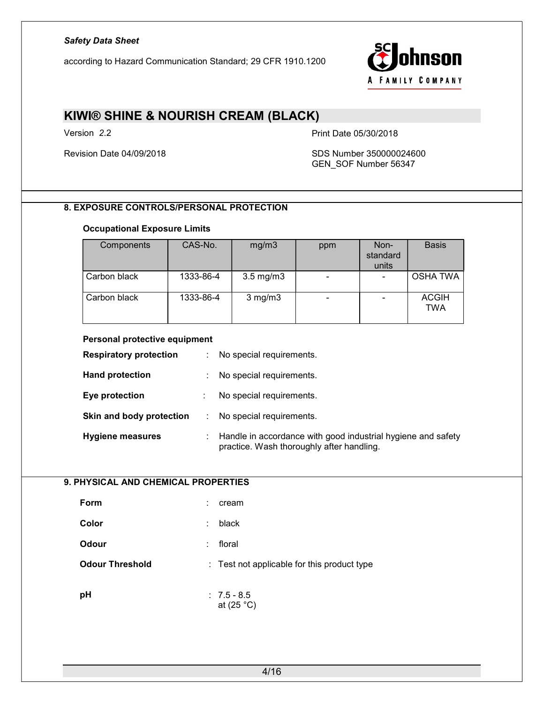according to Hazard Communication Standard; 29 CFR 1910.1200



### KIWI® SHINE & NOURISH CREAM (BLACK)

Version 2.2 Print Date 05/30/2018

#### Revision Date 04/09/2018 SDS Number 350000024600 GEN\_SOF Number 56347

### 8. EXPOSURE CONTROLS/PERSONAL PROTECTION

#### Occupational Exposure Limits

| Components   | CAS-No.   | mg/m3              | ppm | Non-<br>standard<br>units | <b>Basis</b>               |
|--------------|-----------|--------------------|-----|---------------------------|----------------------------|
| Carbon black | 1333-86-4 | $3.5 \text{ mg/m}$ |     |                           | <b>OSHA TWA</b>            |
| Carbon black | 1333-86-4 | $3$ mg/m $3$       | -   |                           | <b>ACGIH</b><br><b>TWA</b> |

#### Personal protective equipment

| <b>Respiratory protection</b> | ÷. | No special requirements.                                                                                  |
|-------------------------------|----|-----------------------------------------------------------------------------------------------------------|
| <b>Hand protection</b>        | ÷. | No special requirements.                                                                                  |
| Eye protection                |    | No special requirements.                                                                                  |
| Skin and body protection      |    | No special requirements.                                                                                  |
| <b>Hygiene measures</b>       | ÷  | Handle in accordance with good industrial hygiene and safety<br>practice. Wash thoroughly after handling. |

#### 9. PHYSICAL AND CHEMICAL PROPERTIES

| Form                   | ÷<br>cream                                  |  |
|------------------------|---------------------------------------------|--|
| Color                  | black<br>t                                  |  |
| <b>Odour</b>           | floral<br>t                                 |  |
| <b>Odour Threshold</b> | : Test not applicable for this product type |  |
| рH                     | $: 7.5 - 8.5$                               |  |
|                        |                                             |  |

at (25 °C)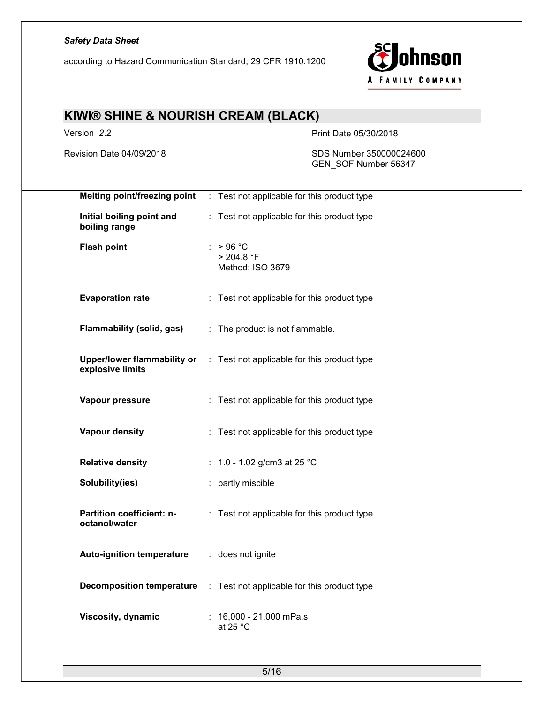according to Hazard Communication Standard; 29 CFR 1910.1200



# KIWI® SHINE & NOURISH CREAM (BLACK)

Version 2.2 **Print Date 05/30/2018** 

Revision Date 04/09/2018 SDS Number 350000024600 GEN\_SOF Number 56347

|                    | Melting point/freezing point               | : Test not applicable for this product type                             |
|--------------------|--------------------------------------------|-------------------------------------------------------------------------|
| boiling range      | Initial boiling point and                  | : Test not applicable for this product type                             |
| <b>Flash point</b> |                                            | $:$ > 96 °C<br>> 204.8 °F<br>Method: ISO 3679                           |
|                    | <b>Evaporation rate</b>                    | : Test not applicable for this product type                             |
|                    | Flammability (solid, gas)                  | : The product is not flammable.                                         |
|                    | explosive limits                           | Upper/lower flammability or : Test not applicable for this product type |
|                    | Vapour pressure                            | : Test not applicable for this product type                             |
|                    | <b>Vapour density</b>                      | : Test not applicable for this product type                             |
|                    | <b>Relative density</b>                    | : $1.0 - 1.02$ g/cm3 at 25 °C                                           |
|                    | Solubility(ies)                            | : partly miscible                                                       |
|                    | Partition coefficient: n-<br>octanol/water | : Test not applicable for this product type                             |
|                    | <b>Auto-ignition temperature</b>           | : does not ignite                                                       |
|                    | <b>Decomposition temperature</b>           | : Test not applicable for this product type                             |
|                    | Viscosity, dynamic                         | $: 16,000 - 21,000$ mPa.s<br>at 25 $^{\circ}$ C                         |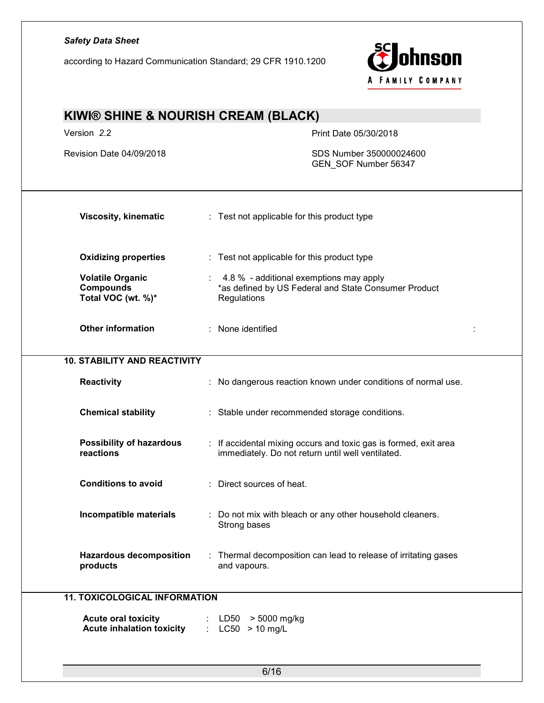according to Hazard Communication Standard; 29 CFR 1910.1200



| KIWI® SHINE & NOURISH CREAM (BLACK)                               |                                                                                                                     |  |  |
|-------------------------------------------------------------------|---------------------------------------------------------------------------------------------------------------------|--|--|
| Version 2.2                                                       | Print Date 05/30/2018                                                                                               |  |  |
| Revision Date 04/09/2018                                          | SDS Number 350000024600<br>GEN_SOF Number 56347                                                                     |  |  |
| <b>Viscosity, kinematic</b>                                       | : Test not applicable for this product type                                                                         |  |  |
| <b>Oxidizing properties</b>                                       | : Test not applicable for this product type                                                                         |  |  |
| <b>Volatile Organic</b><br><b>Compounds</b><br>Total VOC (wt. %)* | 4.8 % - additional exemptions may apply<br>*as defined by US Federal and State Consumer Product<br>Regulations      |  |  |
| <b>Other information</b>                                          | : None identified                                                                                                   |  |  |
| <b>10. STABILITY AND REACTIVITY</b>                               |                                                                                                                     |  |  |
| <b>Reactivity</b>                                                 | No dangerous reaction known under conditions of normal use.                                                         |  |  |
| <b>Chemical stability</b>                                         | : Stable under recommended storage conditions.                                                                      |  |  |
| <b>Possibility of hazardous</b><br>reactions                      | If accidental mixing occurs and toxic gas is formed, exit area<br>immediately. Do not return until well ventilated. |  |  |
| <b>Conditions to avoid</b>                                        | Direct sources of heat.<br>÷                                                                                        |  |  |
| Incompatible materials                                            | Do not mix with bleach or any other household cleaners.<br>Strong bases                                             |  |  |
| <b>Hazardous decomposition</b><br>products                        | Thermal decomposition can lead to release of irritating gases<br>and vapours.                                       |  |  |
| <b>11. TOXICOLOGICAL INFORMATION</b>                              |                                                                                                                     |  |  |
| <b>Acute oral toxicity</b><br><b>Acute inhalation toxicity</b>    | > 5000 mg/kg<br>LD50<br>$\mathbb{R}^{n+1}$<br>$LC50 > 10$ mg/L                                                      |  |  |
|                                                                   |                                                                                                                     |  |  |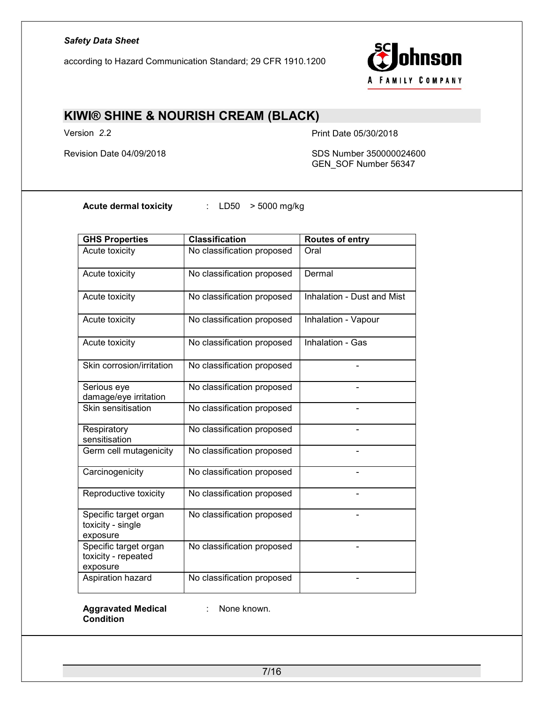according to Hazard Communication Standard; 29 CFR 1910.1200



### KIWI® SHINE & NOURISH CREAM (BLACK)

Version 2.2 Print Date 05/30/2018

Revision Date 04/09/2018 SDS Number 350000024600 GEN\_SOF Number 56347

Acute dermal toxicity : LD50 > 5000 mg/kg

| <b>GHS Properties</b>                                    | <b>Classification</b>      | Routes of entry            |
|----------------------------------------------------------|----------------------------|----------------------------|
| Acute toxicity                                           | No classification proposed | Oral                       |
| Acute toxicity                                           | No classification proposed | Dermal                     |
| Acute toxicity                                           | No classification proposed | Inhalation - Dust and Mist |
| Acute toxicity                                           | No classification proposed | Inhalation - Vapour        |
| Acute toxicity                                           | No classification proposed | Inhalation - Gas           |
| Skin corrosion/irritation                                | No classification proposed |                            |
| Serious eye<br>damage/eye irritation                     | No classification proposed |                            |
| Skin sensitisation                                       | No classification proposed |                            |
| Respiratory<br>sensitisation                             | No classification proposed |                            |
| Germ cell mutagenicity                                   | No classification proposed |                            |
| Carcinogenicity                                          | No classification proposed |                            |
| Reproductive toxicity                                    | No classification proposed |                            |
| Specific target organ<br>toxicity - single<br>exposure   | No classification proposed |                            |
| Specific target organ<br>toxicity - repeated<br>exposure | No classification proposed |                            |
| Aspiration hazard                                        | No classification proposed |                            |

Aggravated Medical Condition

: None known.

7/16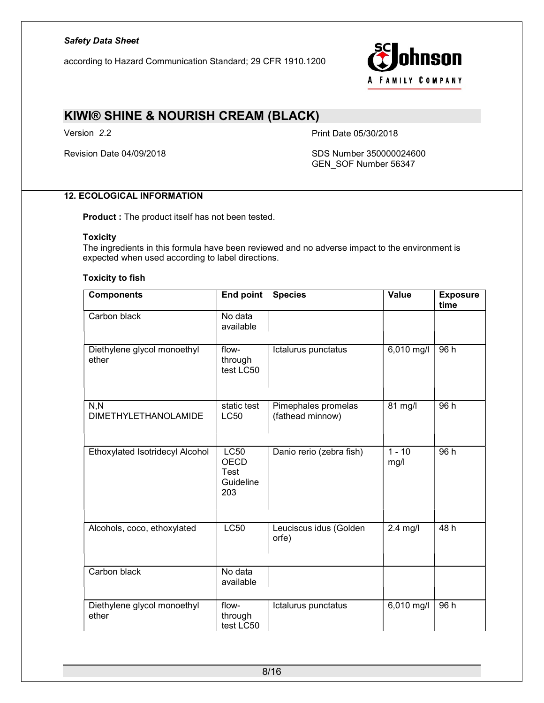according to Hazard Communication Standard; 29 CFR 1910.1200



### KIWI® SHINE & NOURISH CREAM (BLACK)

Version 2.2 Print Date 05/30/2018

Revision Date 04/09/2018 SDS Number 350000024600 GEN\_SOF Number 56347

### 12. ECOLOGICAL INFORMATION

Product : The product itself has not been tested.

#### **Toxicity**

The ingredients in this formula have been reviewed and no adverse impact to the environment is expected when used according to label directions.

#### Toxicity to fish

| <b>Components</b>                    | <b>End point</b>                                       | <b>Species</b>                          | Value            | <b>Exposure</b><br>time |
|--------------------------------------|--------------------------------------------------------|-----------------------------------------|------------------|-------------------------|
| Carbon black                         | No data<br>available                                   |                                         |                  |                         |
| Diethylene glycol monoethyl<br>ether | flow-<br>through<br>test LC50                          | Ictalurus punctatus                     | 6,010 mg/l       | 96 h                    |
| N, N<br><b>DIMETHYLETHANOLAMIDE</b>  | static test<br><b>LC50</b>                             | Pimephales promelas<br>(fathead minnow) | 81 mg/l          | 96 h                    |
| Ethoxylated Isotridecyl Alcohol      | <b>LC50</b><br><b>OECD</b><br>Test<br>Guideline<br>203 | Danio rerio (zebra fish)                | $1 - 10$<br>mg/l | 96 h                    |
| Alcohols, coco, ethoxylated          | <b>LC50</b>                                            | Leuciscus idus (Golden<br>orfe)         | $2.4$ mg/l       | 48h                     |
| Carbon black                         | No data<br>available                                   |                                         |                  |                         |
| Diethylene glycol monoethyl<br>ether | flow-<br>through<br>test LC50                          | Ictalurus punctatus                     | $6,010$ mg/l     | 96h                     |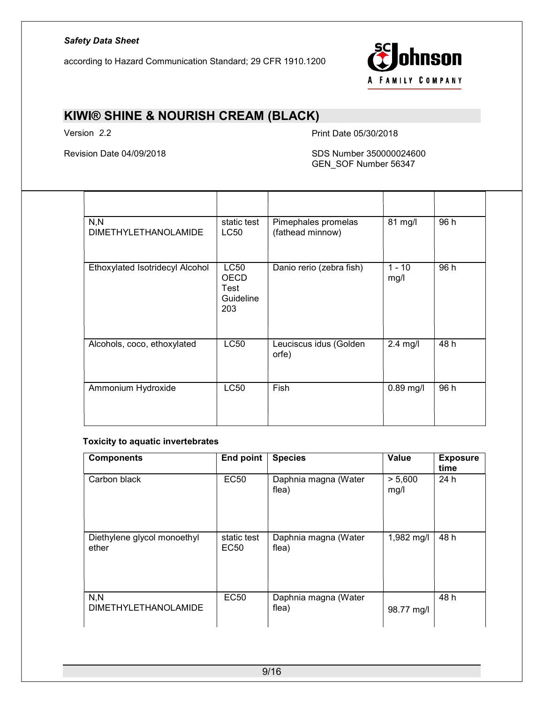according to Hazard Communication Standard; 29 CFR 1910.1200



# KIWI® SHINE & NOURISH CREAM (BLACK)

Version 2.2 **Print Date 05/30/2018** 

#### Revision Date 04/09/2018 SDS Number 350000024600 GEN\_SOF Number 56347

| N, N<br><b>DIMETHYLETHANOLAMIDE</b> | static test<br>LC50                             | Pimephales promelas<br>(fathead minnow) | 81 mg/l          | 96 h |
|-------------------------------------|-------------------------------------------------|-----------------------------------------|------------------|------|
| Ethoxylated Isotridecyl Alcohol     | <b>LC50</b><br>OECD<br>Test<br>Guideline<br>203 | Danio rerio (zebra fish)                | $1 - 10$<br>mg/l | 96 h |
| Alcohols, coco, ethoxylated         | <b>LC50</b>                                     | Leuciscus idus (Golden<br>orfe)         | $2.4$ mg/l       | 48 h |
| Ammonium Hydroxide                  | <b>LC50</b>                                     | Fish                                    | $0.89$ mg/l      | 96 h |

#### Toxicity to aquatic invertebrates

| <b>Components</b>                    | End point                       | <b>Species</b>                | Value           | <b>Exposure</b><br>time |
|--------------------------------------|---------------------------------|-------------------------------|-----------------|-------------------------|
| Carbon black                         | <b>EC50</b>                     | Daphnia magna (Water<br>flea) | > 5,600<br>mg/l | 24 h                    |
| Diethylene glycol monoethyl<br>ether | static test<br>EC <sub>50</sub> | Daphnia magna (Water<br>flea) | 1,982 mg/l      | 48 h                    |
| N, N<br><b>DIMETHYLETHANOLAMIDE</b>  | <b>EC50</b>                     | Daphnia magna (Water<br>flea) | 98.77 mg/l      | 48 h                    |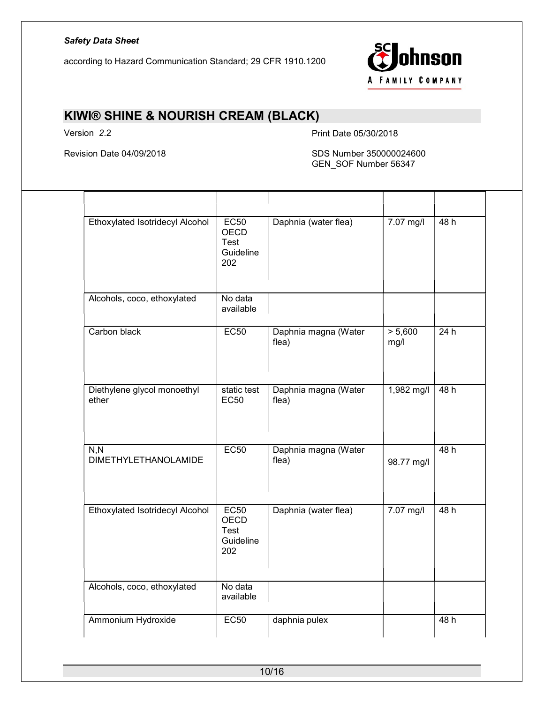according to Hazard Communication Standard; 29 CFR 1910.1200



# KIWI® SHINE & NOURISH CREAM (BLACK)

Version 2.2 **Print Date 05/30/2018** 

#### Revision Date 04/09/2018 SDS Number 350000024600 GEN\_SOF Number 56347

| Ethoxylated Isotridecyl Alcohol      | EC50<br><b>OECD</b><br>Test<br>Guideline<br>202               | Daphnia (water flea)          | 7.07 mg/l       | 48h |
|--------------------------------------|---------------------------------------------------------------|-------------------------------|-----------------|-----|
| Alcohols, coco, ethoxylated          | No data<br>available                                          |                               |                 |     |
| Carbon black                         | <b>EC50</b>                                                   | Daphnia magna (Water<br>flea) | > 5,600<br>mg/l | 24h |
| Diethylene glycol monoethyl<br>ether | static test<br><b>EC50</b>                                    | Daphnia magna (Water<br>flea) | 1,982 mg/l      | 48h |
| N, N<br><b>DIMETHYLETHANOLAMIDE</b>  | EC50                                                          | Daphnia magna (Water<br>flea) | 98.77 mg/l      | 48h |
| Ethoxylated Isotridecyl Alcohol      | <b>EC50</b><br><b>OECD</b><br><b>Test</b><br>Guideline<br>202 | Daphnia (water flea)          | 7.07 mg/l       | 48h |
| Alcohols, coco, ethoxylated          | No data<br>available                                          |                               |                 |     |
| Ammonium Hydroxide                   | <b>EC50</b>                                                   | daphnia pulex                 |                 | 48h |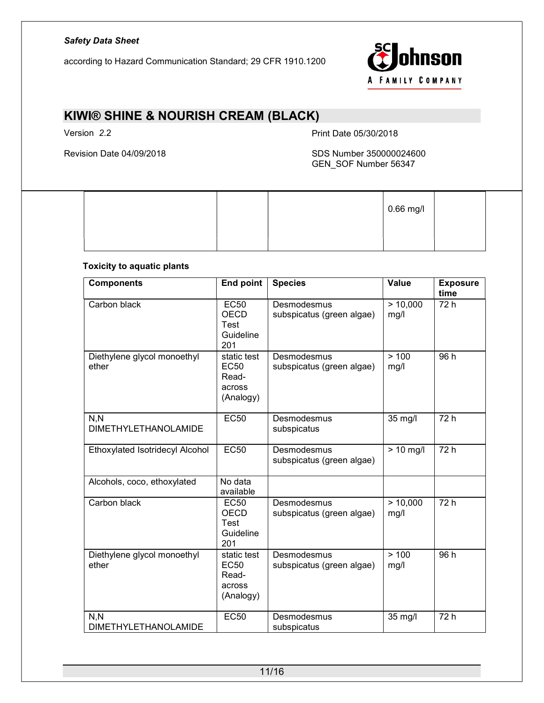according to Hazard Communication Standard; 29 CFR 1910.1200



# KIWI® SHINE & NOURISH CREAM (BLACK)

Version 2.2 **Print Date 05/30/2018** 

#### Revision Date 04/09/2018 SDS Number 350000024600 GEN\_SOF Number 56347

|  |  | $\vert$ 0.66 mg/l |  |
|--|--|-------------------|--|
|  |  |                   |  |

#### Toxicity to aquatic plants

| <b>Components</b>                    | <b>End point</b>                                                | <b>Species</b>                           | <b>Value</b>     | <b>Exposure</b><br>time |
|--------------------------------------|-----------------------------------------------------------------|------------------------------------------|------------------|-------------------------|
| Carbon black                         | <b>EC50</b><br><b>OECD</b><br>Test<br>Guideline<br>201          | Desmodesmus<br>subspicatus (green algae) | > 10,000<br>mg/l | 72 h                    |
| Diethylene glycol monoethyl<br>ether | static test<br><b>EC50</b><br>Read-<br>across<br>(Analogy)      | Desmodesmus<br>subspicatus (green algae) | >100<br>mg/l     | 96 h                    |
| N, N<br><b>DIMETHYLETHANOLAMIDE</b>  | <b>EC50</b>                                                     | Desmodesmus<br>subspicatus               | 35 mg/l          | 72 h                    |
| Ethoxylated Isotridecyl Alcohol      | <b>EC50</b>                                                     | Desmodesmus<br>subspicatus (green algae) | $> 10$ mg/l      | 72h                     |
| Alcohols, coco, ethoxylated          | No data<br>available                                            |                                          |                  |                         |
| Carbon black                         | <b>EC50</b><br><b>OECD</b><br>Test<br>Guideline<br>201          | Desmodesmus<br>subspicatus (green algae) | > 10,000<br>mg/l | 72 h                    |
| Diethylene glycol monoethyl<br>ether | static test<br>EC <sub>50</sub><br>Read-<br>across<br>(Analogy) | Desmodesmus<br>subspicatus (green algae) | >100<br>mg/l     | 96 h                    |
| N, N<br><b>DIMETHYLETHANOLAMIDE</b>  | <b>EC50</b>                                                     | Desmodesmus<br>subspicatus               | 35 mg/l          | $\overline{72h}$        |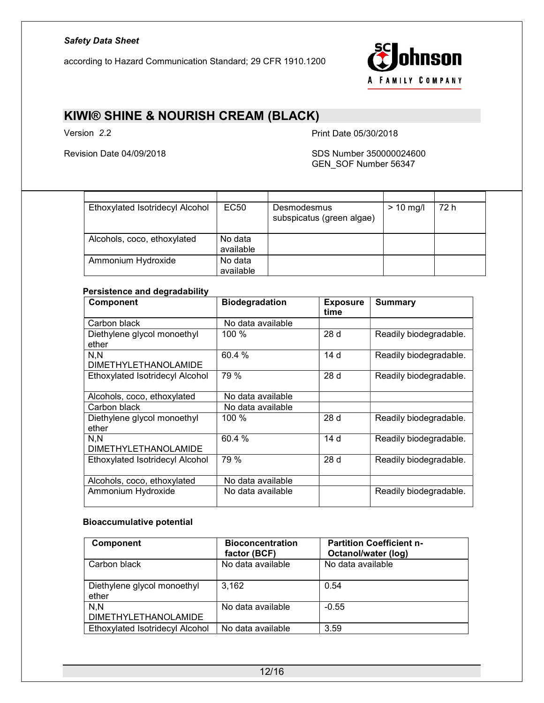according to Hazard Communication Standard; 29 CFR 1910.1200



# KIWI® SHINE & NOURISH CREAM (BLACK)

Version 2.2 Print Date 05/30/2018

#### Revision Date 04/09/2018 SDS Number 350000024600 GEN\_SOF Number 56347

| Ethoxylated Isotridecyl Alcohol | <b>EC50</b>          | Desmodesmus<br>subspicatus (green algae) | $> 10$ mg/l | 72 h |
|---------------------------------|----------------------|------------------------------------------|-------------|------|
| Alcohols, coco, ethoxylated     | No data<br>available |                                          |             |      |
| Ammonium Hydroxide              | No data<br>available |                                          |             |      |

#### Persistence and degradability

| <b>Component</b>                | <b>Biodegradation</b> | <b>Exposure</b><br>time | <b>Summary</b>         |
|---------------------------------|-----------------------|-------------------------|------------------------|
| Carbon black                    | No data available     |                         |                        |
| Diethylene glycol monoethyl     | 100 %                 | 28d                     | Readily biodegradable. |
| ether                           |                       |                         |                        |
| N, N                            | 60.4 %                | 14 d                    | Readily biodegradable. |
| <b>DIMETHYLETHANOLAMIDE</b>     |                       |                         |                        |
| Ethoxylated Isotridecyl Alcohol | 79 %                  | 28d                     | Readily biodegradable. |
| Alcohols, coco, ethoxylated     | No data available     |                         |                        |
| Carbon black                    | No data available     |                         |                        |
| Diethylene glycol monoethyl     | 100 %                 | 28d                     | Readily biodegradable. |
| ether                           |                       |                         |                        |
| N.N                             | 60.4 %                | 14 d                    | Readily biodegradable. |
| <b>DIMETHYLETHANOLAMIDE</b>     |                       |                         |                        |
| Ethoxylated Isotridecyl Alcohol | 79 %                  | 28d                     | Readily biodegradable. |
|                                 |                       |                         |                        |
| Alcohols, coco, ethoxylated     | No data available     |                         |                        |
| Ammonium Hydroxide              | No data available     |                         | Readily biodegradable. |

#### Bioaccumulative potential

| <b>Component</b>                     | <b>Bioconcentration</b><br>factor (BCF) | <b>Partition Coefficient n-</b><br>Octanol/water (log) |
|--------------------------------------|-----------------------------------------|--------------------------------------------------------|
| Carbon black                         | No data available                       | No data available                                      |
| Diethylene glycol monoethyl<br>ether | 3,162                                   | 0.54                                                   |
| N.N<br><b>DIMETHYLETHANOLAMIDE</b>   | No data available                       | $-0.55$                                                |
| Ethoxylated Isotridecyl Alcohol      | No data available                       | 3.59                                                   |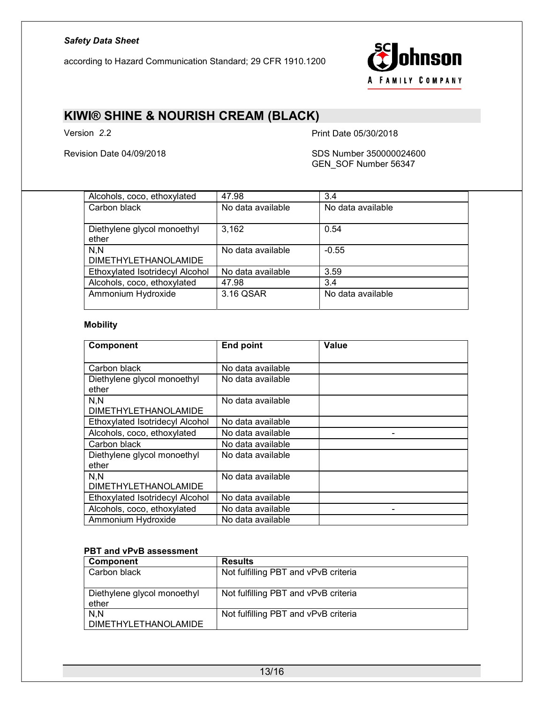according to Hazard Communication Standard; 29 CFR 1910.1200



## KIWI® SHINE & NOURISH CREAM (BLACK)

Version 2.2 **Print Date 05/30/2018** 

Revision Date 04/09/2018 SDS Number 350000024600 GEN\_SOF Number 56347

| Alcohols, coco, ethoxylated     | 47.98             | 3.4               |
|---------------------------------|-------------------|-------------------|
| Carbon black                    | No data available | No data available |
|                                 |                   |                   |
| Diethylene glycol monoethyl     | 3,162             | 0.54              |
| ether                           |                   |                   |
| N.N                             | No data available | $-0.55$           |
| <b>DIMETHYLETHANOLAMIDE</b>     |                   |                   |
| Ethoxylated Isotridecyl Alcohol | No data available | 3.59              |
| Alcohols, coco, ethoxylated     | 47.98             | 3.4               |
| Ammonium Hydroxide              | 3.16 QSAR         | No data available |
|                                 |                   |                   |

#### Mobility

| <b>Component</b>                | <b>End point</b>  | <b>Value</b> |
|---------------------------------|-------------------|--------------|
|                                 |                   |              |
| Carbon black                    | No data available |              |
| Diethylene glycol monoethyl     | No data available |              |
| ether                           |                   |              |
| N, N                            | No data available |              |
| <b>DIMETHYLETHANOLAMIDE</b>     |                   |              |
| Ethoxylated Isotridecyl Alcohol | No data available |              |
| Alcohols, coco, ethoxylated     | No data available |              |
| Carbon black                    | No data available |              |
| Diethylene glycol monoethyl     | No data available |              |
| ether                           |                   |              |
| N, N                            | No data available |              |
| <b>DIMETHYLETHANOLAMIDE</b>     |                   |              |
| Ethoxylated Isotridecyl Alcohol | No data available |              |
| Alcohols, coco, ethoxylated     | No data available |              |
| Ammonium Hydroxide              | No data available |              |

#### PBT and vPvB assessment

| Component                            | <b>Results</b>                       |
|--------------------------------------|--------------------------------------|
| Carbon black                         | Not fulfilling PBT and vPvB criteria |
| Diethylene glycol monoethyl<br>ether | Not fulfilling PBT and vPvB criteria |
| N.N<br>DIMETHYLETHANOLAMIDE          | Not fulfilling PBT and vPvB criteria |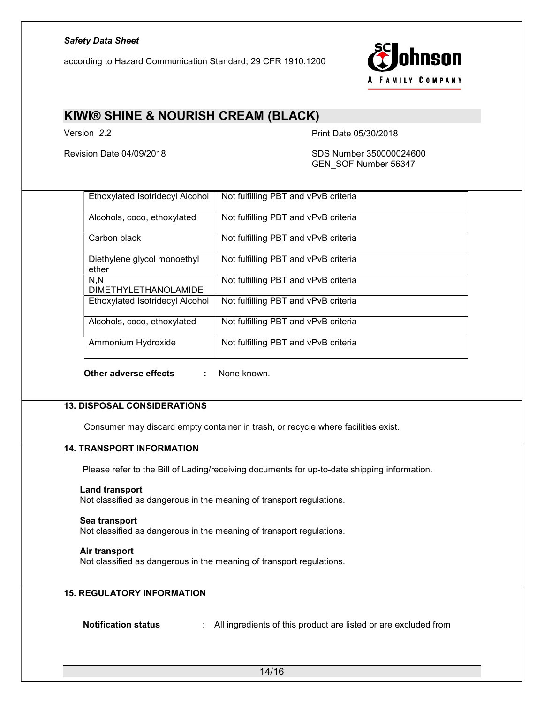according to Hazard Communication Standard; 29 CFR 1910.1200



### KIWI® SHINE & NOURISH CREAM (BLACK)

Version 2.2 **Print Date 05/30/2018** 

Revision Date 04/09/2018 SDS Number 350000024600 GEN\_SOF Number 56347

| Ethoxylated Isotridecyl Alcohol      | Not fulfilling PBT and vPvB criteria |  |
|--------------------------------------|--------------------------------------|--|
| Alcohols, coco, ethoxylated          | Not fulfilling PBT and vPvB criteria |  |
| Carbon black                         | Not fulfilling PBT and vPvB criteria |  |
| Diethylene glycol monoethyl<br>ether | Not fulfilling PBT and vPvB criteria |  |
| N.N<br><b>DIMETHYLETHANOLAMIDE</b>   | Not fulfilling PBT and vPvB criteria |  |
| Ethoxylated Isotridecyl Alcohol      | Not fulfilling PBT and vPvB criteria |  |
| Alcohols, coco, ethoxylated          | Not fulfilling PBT and vPvB criteria |  |
| Ammonium Hydroxide                   | Not fulfilling PBT and vPvB criteria |  |
| Other adverse effects<br>÷           | None known.                          |  |
|                                      |                                      |  |

### 13. DISPOSAL CONSIDERATIONS

Consumer may discard empty container in trash, or recycle where facilities exist.

#### 14. TRANSPORT INFORMATION

Please refer to the Bill of Lading/receiving documents for up-to-date shipping information.

#### Land transport

Not classified as dangerous in the meaning of transport regulations.

#### Sea transport

Not classified as dangerous in the meaning of transport regulations.

#### Air transport

Not classified as dangerous in the meaning of transport regulations.

#### 15. REGULATORY INFORMATION

Notification status : All ingredients of this product are listed or are excluded from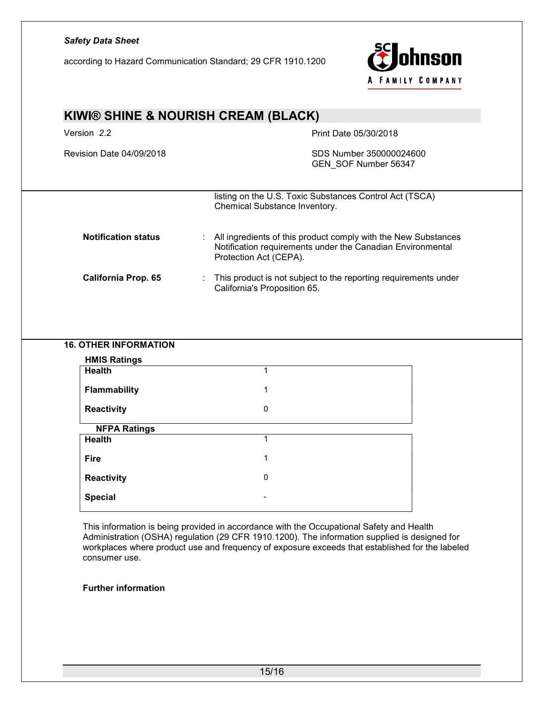# Safety Data Sheet ohnson according to Hazard Communication Standard; 29 CFR 1910.1200 A FAMILY COMPANY KIWI® SHINE & NOURISH CREAM (BLACK) Version 2.2 **Print Date 05/30/2018** Revision Date 04/09/2018 SDS Number 350000024600 GEN\_SOF Number 56347 listing on the U.S. Toxic Substances Control Act (TSCA) Chemical Substance Inventory. Notification status : All ingredients of this product comply with the New Substances Notification requirements under the Canadian Environmental Protection Act (CEPA). California Prop. 65 : This product is not subject to the reporting requirements under California's Proposition 65. 16. OTHER INFORMATION HMIS Ratings Health 1 Flammability 1 and 1 and 1 and 1 and 1 and 1 and 1 and 1 and 1 and 1 and 1 and 1 and 1 and 1 and 1 and 1 and 1 Reactivity 0 NFPA Ratings Health 1 and 1 and 1 and 1 and 1 and 1 and 1 and 1 and 1 and 1 and 1 and 1 and 1 and 1 and 1 and 1 and 1 and 1 **Fire** 1

This information is being provided in accordance with the Occupational Safety and Health Administration (OSHA) regulation (29 CFR 1910.1200). The information supplied is designed for workplaces where product use and frequency of exposure exceeds that established for the labeled consumer use.

#### Further information

**Special** 

Reactivity 0